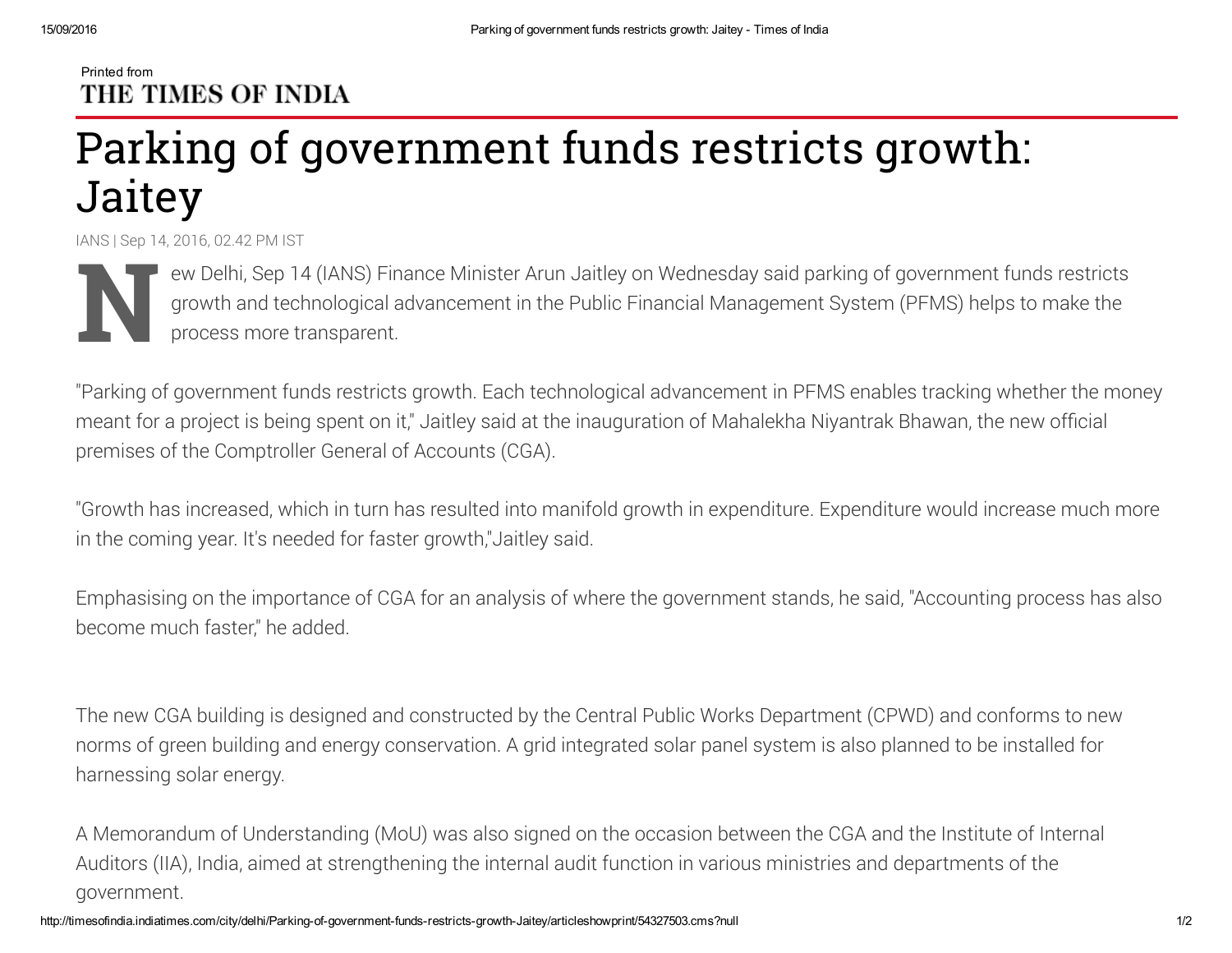## Printed from THE TIMES OF INDIA

## Parking of government funds restricts growth: **Jaitey**

IANS | Sep 14, 2016, 02.42 PM IST

N ew<br>Propress production of the space of the space of the space of the space of the space of the space of the space of the space of the space of the space of the space of the space of the space of the space of the space of ew Delhi, Sep 14 (IANS) Finance Minister Arun Jaitley on Wednesday said parking of government funds restricts growth and technological advancement in the Public Financial Management System (PFMS) helps to make the process more transparent.

"Parking of government funds restricts growth. Each technological advancement in PFMS enables tracking whether the money meant for a project is being spent on it," Jaitley said at the inauguration of Mahalekha Niyantrak Bhawan, the new official premises of the Comptroller General of Accounts (CGA).

"Growth has increased, which in turn has resulted into manifold growth in expenditure. Expenditure would increase much more in the coming year. It's needed for faster growth,"Jaitley said.

Emphasising on the importance of CGA for an analysis of where the government stands, he said, "Accounting process has also become much faster," he added.

The new CGA building is designed and constructed by the Central Public Works Department (CPWD) and conforms to new norms of green building and energy conservation. A grid integrated solar panel system is also planned to be installed for harnessing solar energy.

A Memorandum of Understanding (MoU) was also signed on the occasion between the CGA and the Institute of Internal Auditors (IIA), India, aimed at strengthening the internal audit function in various ministries and departments of the government.